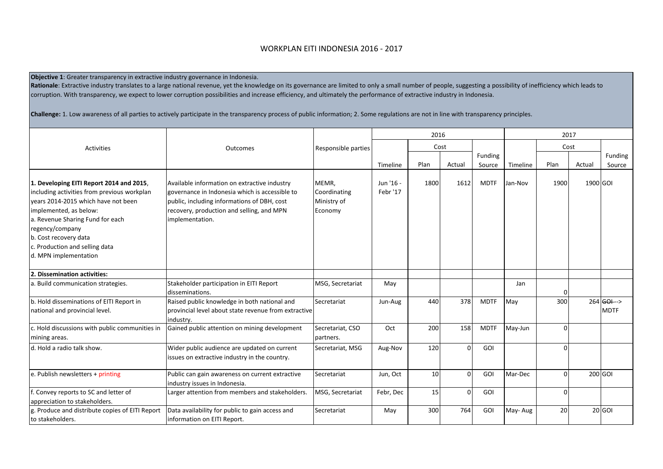## WORKPLAN EITI INDONESIA 2016 - 2017

**Objective 1**: Greater transparency in extractive industry governance in Indonesia.

Rationale: Extractive industry translates to a large national revenue, yet the knowledge on its governance are limited to only a small number of people, suggesting a possibility of inefficiency which leads to corruption. With transparency, we expect to lower corruption possibilities and increase efficiency, and ultimately the performance of extractive industry in Indonesia.

**Challenge:** 1. Low awareness of all parties to actively participate in the transparency process of public information; 2. Some regulations are not in line with transparency principles.

|                                                                                                                                                                                                                                                                                                     |                                                                                                                                                                                                               |                                                 | 2016                  |                 |          | 2017        |          |          |          |                                          |
|-----------------------------------------------------------------------------------------------------------------------------------------------------------------------------------------------------------------------------------------------------------------------------------------------------|---------------------------------------------------------------------------------------------------------------------------------------------------------------------------------------------------------------|-------------------------------------------------|-----------------------|-----------------|----------|-------------|----------|----------|----------|------------------------------------------|
| Activities                                                                                                                                                                                                                                                                                          | Outcomes                                                                                                                                                                                                      | Responsible parties                             |                       | Cost            |          |             |          | Cost     |          |                                          |
|                                                                                                                                                                                                                                                                                                     |                                                                                                                                                                                                               |                                                 |                       |                 |          | Funding     |          |          |          | Funding                                  |
|                                                                                                                                                                                                                                                                                                     |                                                                                                                                                                                                               |                                                 | Timeline              | Plan            | Actual   | Source      | Timeline | Plan     | Actual   | Source                                   |
| 1. Developing EITI Report 2014 and 2015,<br>including activities from previous workplan<br>vears 2014-2015 which have not been<br>implemented, as below:<br>a. Revenue Sharing Fund for each<br>regency/company<br>b. Cost recovery data<br>c. Production and selling data<br>d. MPN implementation | Available information on extractive industry<br>governance in Indonesia which is accessible to<br>public, including informations of DBH, cost<br>recovery, production and selling, and MPN<br>implementation. | MEMR,<br>Coordinating<br>Ministry of<br>Economy | Jun '16 -<br>Febr '17 | 1800            | 1612     | <b>MDTF</b> | Jan-Nov  | 1900     | 1900 GOI |                                          |
| 2. Dissemination activities:                                                                                                                                                                                                                                                                        |                                                                                                                                                                                                               |                                                 |                       |                 |          |             |          |          |          |                                          |
| a. Build communication strategies.                                                                                                                                                                                                                                                                  | Stakeholder participation in EITI Report<br>disseminations.                                                                                                                                                   | MSG, Secretariat                                | May                   |                 |          |             | Jan      | 0        |          |                                          |
| b. Hold disseminations of EITI Report in<br>national and provincial level.                                                                                                                                                                                                                          | Raised public knowledge in both national and<br>provincial level about state revenue from extractive<br>industry.                                                                                             | Secretariat                                     | Jun-Aug               | 440             | 378      | <b>MDTF</b> | May      | 300      |          | $264$ <del>GOI --</del> ><br><b>MDTF</b> |
| c. Hold discussions with public communities in<br>mining areas.                                                                                                                                                                                                                                     | Gained public attention on mining development                                                                                                                                                                 | Secretariat, CSO<br>partners.                   | Oct                   | 200             | 158      | <b>MDTF</b> | May-Jun  | $\Omega$ |          |                                          |
| d. Hold a radio talk show.                                                                                                                                                                                                                                                                          | Wider public audience are updated on current<br>issues on extractive industry in the country.                                                                                                                 | Secretariat, MSG                                | Aug-Nov               | 120             | $\Omega$ | <b>GOI</b>  |          | $\Omega$ |          |                                          |
| e. Publish newsletters + $printing$                                                                                                                                                                                                                                                                 | Public can gain awareness on current extractive<br>industry issues in Indonesia.                                                                                                                              | Secretariat                                     | Jun, Oct              | 10              | $\Omega$ | <b>GOI</b>  | Mar-Dec  | $\Omega$ |          | 200 GOI                                  |
| f. Convey reports to SC and letter of<br>appreciation to stakeholders.                                                                                                                                                                                                                              | Larger attention from members and stakeholders.                                                                                                                                                               | MSG, Secretariat                                | Febr, Dec             | 15 <sup>1</sup> | $\Omega$ | GOI         |          | $\Omega$ |          |                                          |
| g. Produce and distribute copies of EITI Report<br>to stakeholders.                                                                                                                                                                                                                                 | Data availability for public to gain access and<br>information on EITI Report.                                                                                                                                | Secretariat                                     | May                   | 300             | 764      | GOI         | May-Aug  | 20       |          | 20 GOI                                   |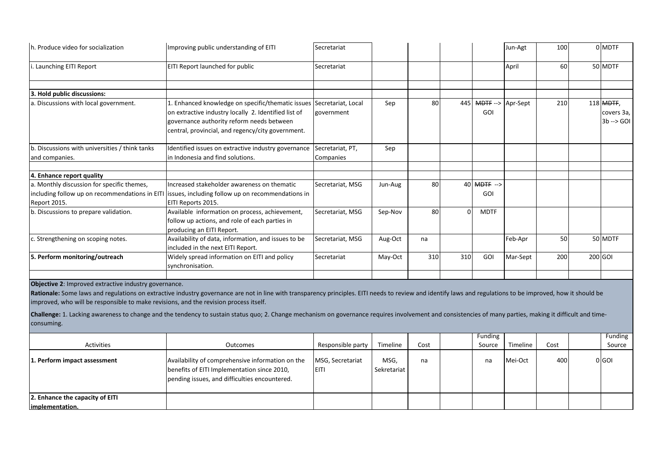| h. Produce video for socialization                                                                                                                           | Improving public understanding of EITI                                                                                                                                                                                                                                                                                                                                                                                    | Secretariat                      |                     |      |          |                    | Jun-Agt  | 100  | 0 MDTF                                          |
|--------------------------------------------------------------------------------------------------------------------------------------------------------------|---------------------------------------------------------------------------------------------------------------------------------------------------------------------------------------------------------------------------------------------------------------------------------------------------------------------------------------------------------------------------------------------------------------------------|----------------------------------|---------------------|------|----------|--------------------|----------|------|-------------------------------------------------|
| i. Launching EITI Report                                                                                                                                     | EITI Report launched for public                                                                                                                                                                                                                                                                                                                                                                                           | Secretariat                      |                     |      |          |                    | April    | 60   | 50 MDTF                                         |
| 3. Hold public discussions:                                                                                                                                  |                                                                                                                                                                                                                                                                                                                                                                                                                           |                                  |                     |      |          |                    |          |      |                                                 |
| a. Discussions with local government.                                                                                                                        | 1. Enhanced knowledge on specific/thematic issues<br>on extractive industry locally 2. Identified list of<br>governance authority reform needs between<br>central, provincial, and regency/city government.                                                                                                                                                                                                               | Secretariat, Local<br>government | Sep                 | 80   |          | 445 MDTF--><br>GOI | Apr-Sept | 210  | 118 MDTF,<br>covers 3a,<br>$3b \rightarrow 601$ |
| b. Discussions with universities / think tanks<br>and companies.                                                                                             | Identified issues on extractive industry governance<br>in Indonesia and find solutions.                                                                                                                                                                                                                                                                                                                                   | Secretariat, PT,<br>Companies    | Sep                 |      |          |                    |          |      |                                                 |
| 4. Enhance report quality                                                                                                                                    |                                                                                                                                                                                                                                                                                                                                                                                                                           |                                  |                     |      |          |                    |          |      |                                                 |
| a. Monthly discussion for specific themes,<br>including follow up on recommendations in EITI<br>Report 2015.                                                 | Increased stakeholder awareness on thematic<br>issues, including follow up on recommendations in<br>EITI Reports 2015.                                                                                                                                                                                                                                                                                                    | Secretariat, MSG                 | Jun-Aug             | 80   |          | 40 MDTF --><br>GOI |          |      |                                                 |
| b. Discussions to prepare validation.                                                                                                                        | Available information on process, achievement,<br>follow up actions, and role of each parties in<br>producing an EITI Report.                                                                                                                                                                                                                                                                                             | Secretariat, MSG                 | Sep-Nov             | 80   | $\Omega$ | <b>MDTF</b>        |          |      |                                                 |
| c. Strengthening on scoping notes.                                                                                                                           | Availability of data, information, and issues to be<br>included in the next EITI Report.                                                                                                                                                                                                                                                                                                                                  | Secretariat, MSG                 | Aug-Oct             | na   |          |                    | Feb-Apr  | 50   | 50 MDTF                                         |
| 5. Perform monitoring/outreach                                                                                                                               | Widely spread information on EITI and policy<br>synchronisation.                                                                                                                                                                                                                                                                                                                                                          | Secretariat                      | May-Oct             | 310  | 310      | GOI                | Mar-Sept | 200  | 200 GOI                                         |
| Objective 2: Improved extractive industry governance.<br>improved, who will be responsible to make revisions, and the revision process itself.<br>consuming. | Rationale: Some laws and regulations on extractive industry governance are not in line with transparency principles. EITI needs to review and identify laws and regulations to be improved, how it should be<br>Challenge: 1. Lacking awareness to change and the tendency to sustain status quo; 2. Change mechanism on governance requires involvement and consistencies of many parties, making it difficult and time- |                                  |                     |      |          |                    |          |      |                                                 |
| <b>Activities</b>                                                                                                                                            | Outcomes                                                                                                                                                                                                                                                                                                                                                                                                                  | Responsible party                | Timeline            | Cost |          | Funding<br>Source  | Timeline | Cost | Funding<br>Source                               |
| 1. Perform impact assessment                                                                                                                                 | Availability of comprehensive information on the<br>benefits of EITI Implementation since 2010,<br>pending issues, and difficulties encountered.                                                                                                                                                                                                                                                                          | MSG, Secretariat<br>EITI         | MSG,<br>Sekretariat | na   |          | na                 | Mei-Oct  | 400  | 0 GO                                            |
| 2. Enhance the capacity of EITI                                                                                                                              |                                                                                                                                                                                                                                                                                                                                                                                                                           |                                  |                     |      |          |                    |          |      |                                                 |

**implementation.**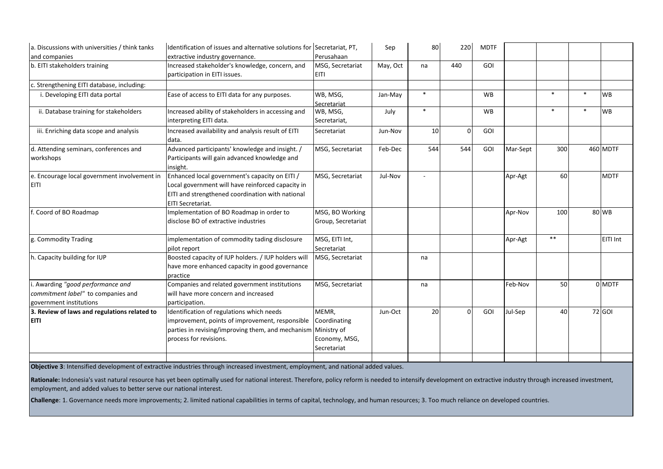| a. Discussions with universities / think tanks | Identification of issues and alternative solutions for Secretariat, PT, |                    | Sep      | 80     | 220      | <b>MDTF</b> |          |        |        |             |
|------------------------------------------------|-------------------------------------------------------------------------|--------------------|----------|--------|----------|-------------|----------|--------|--------|-------------|
| and companies                                  | extractive industry governance.                                         | Perusahaan         |          |        |          |             |          |        |        |             |
| b. EITI stakeholders training                  | Increased stakeholder's knowledge, concern, and                         | MSG, Secretariat   | May, Oct | na     | 440      | GOI         |          |        |        |             |
|                                                | participation in EITI issues.                                           | <b>EITI</b>        |          |        |          |             |          |        |        |             |
| c. Strengthening EITI database, including:     |                                                                         |                    |          |        |          |             |          |        |        |             |
| i. Developing EITI data portal                 | Ease of access to EITI data for any purposes.                           | WB, MSG,           | Jan-May  | $\ast$ |          | <b>WB</b>   |          | $\ast$ | ∗      | WB          |
|                                                |                                                                         | Secretariat        |          |        |          |             |          |        |        |             |
| ii. Database training for stakeholders         | Increased ability of stakeholders in accessing and                      | WB, MSG,           | July     | $\ast$ |          | <b>WB</b>   |          | $\ast$ | $\ast$ | <b>WB</b>   |
|                                                | interpreting EITI data.                                                 | Secretariat,       |          |        |          |             |          |        |        |             |
| iii. Enriching data scope and analysis         | Increased availability and analysis result of EITI                      | Secretariat        | Jun-Nov  | 10     | $\Omega$ | GOI         |          |        |        |             |
|                                                | data.                                                                   |                    |          |        |          |             |          |        |        |             |
| d. Attending seminars, conferences and         | Advanced participants' knowledge and insight. /                         | MSG, Secretariat   | Feb-Dec  | 544    | 544      | GOI         | Mar-Sept | 300    |        | 460 MDTF    |
| workshops                                      | Participants will gain advanced knowledge and                           |                    |          |        |          |             |          |        |        |             |
|                                                | insight.                                                                |                    |          |        |          |             |          |        |        |             |
| e. Encourage local government involvement in   | Enhanced local government's capacity on EITI /                          | MSG, Secretariat   | Jul-Nov  |        |          |             | Apr-Agt  | 60     |        | <b>MDTF</b> |
| EITI                                           | Local government will have reinforced capacity in                       |                    |          |        |          |             |          |        |        |             |
|                                                | EITI and strengthened coordination with national                        |                    |          |        |          |             |          |        |        |             |
|                                                | EITI Secretariat.                                                       |                    |          |        |          |             |          |        |        |             |
| f. Coord of BO Roadmap                         | Implementation of BO Roadmap in order to                                | MSG, BO Working    |          |        |          |             | Apr-Nov  | 100    |        | 80 WB       |
|                                                | disclose BO of extractive industries                                    | Group, Secretariat |          |        |          |             |          |        |        |             |
| g. Commodity Trading                           | implementation of commodity tading disclosure                           | MSG, EITI Int,     |          |        |          |             | Apr-Agt  | $**$   |        | EITI Int    |
|                                                | pilot report                                                            | Secretariat        |          |        |          |             |          |        |        |             |
| h. Capacity building for IUP                   | Boosted capacity of IUP holders. / IUP holders will                     | MSG, Secretariat   |          | na     |          |             |          |        |        |             |
|                                                | have more enhanced capacity in good governance                          |                    |          |        |          |             |          |        |        |             |
|                                                | practice                                                                |                    |          |        |          |             |          |        |        |             |
| i. Awarding "good performance and              | Companies and related government institutions                           | MSG, Secretariat   |          | na     |          |             | Feb-Nov  | 50     |        | 0 MDTF      |
| commitment label" to companies and             | will have more concern and increased                                    |                    |          |        |          |             |          |        |        |             |
| government institutions                        | participation.                                                          |                    |          |        |          |             |          |        |        |             |
| 3. Review of laws and regulations related to   | Identification of regulations which needs                               | MEMR,              | Jun-Oct  | 20     | $\Omega$ | GOI         | Jul-Sep  | 40     |        | 72 GOI      |
| <b>EITI</b>                                    | improvement, points of improvement, responsible                         | Coordinating       |          |        |          |             |          |        |        |             |
|                                                | parties in revising/improving them, and mechanism                       | Ministry of        |          |        |          |             |          |        |        |             |
|                                                | process for revisions.                                                  | Economy, MSG,      |          |        |          |             |          |        |        |             |
|                                                |                                                                         | Secretariat        |          |        |          |             |          |        |        |             |
|                                                |                                                                         |                    |          |        |          |             |          |        |        |             |

**Objective 3**: Intensified development of extractive industries through increased investment, employment, and national added values.

Rationale: Indonesia's vast natural resource has yet been optimally used for national interest. Therefore, policy reform is needed to intensify development on extractive industry through increased investment, employment, and added values to better serve our national interest.

**Challenge**: 1. Governance needs more improvements; 2. limited national capabilities in terms of capital, technology, and human resources; 3. Too much reliance on developed countries.